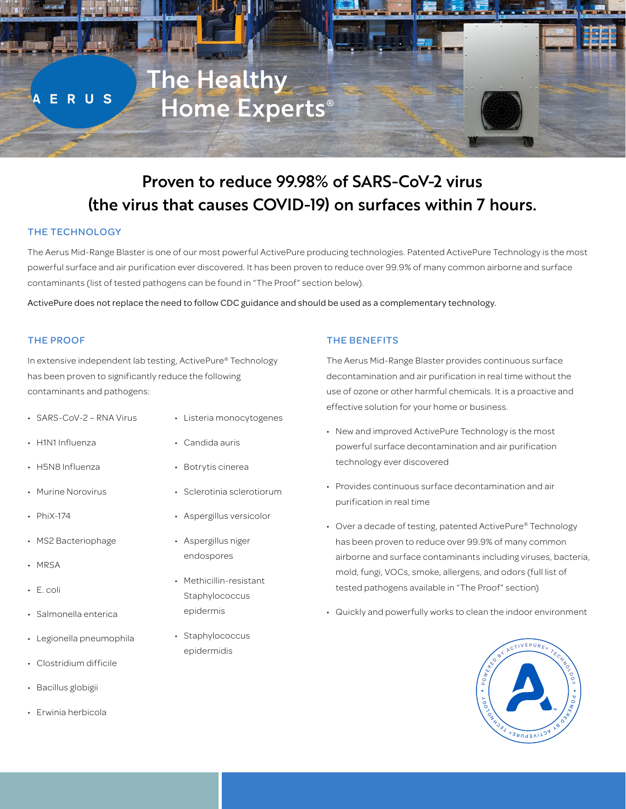

# Proven to reduce 99.98% of SARS-CoV-2 virus (the virus that causes COVID-19) on surfaces within 7 hours.

## THE TECHNOLOGY

The Aerus Mid-Range Blaster is one of our most powerful ActivePure producing technologies. Patented ActivePure Technology is the most powerful surface and air purification ever discovered. It has been proven to reduce over 99.9% of many common airborne and surface contaminants (list of tested pathogens can be found in "The Proof" section below).

ActivePure does not replace the need to follow CDC guidance and should be used as a complementary technology.

#### THE PROOF

In extensive independent lab testing, ActivePure® Technology has been proven to significantly reduce the following contaminants and pathogens:

- SARS-CoV-2 RNA Virus
- H1N1 Influenza
- H5N8 Influenza
- Murine Norovirus
- PhiX-174
- MS2 Bacteriophage
- MRSA
- E. coli
- Salmonella enterica
- Legionella pneumophila
- Clostridium difficile
- Bacillus globigii
- Erwinia herbicola
- Listeria monocytogenes
	- Candida auris
	- Botrytis cinerea
	- Sclerotinia sclerotiorum
	- Aspergillus versicolor
	- Aspergillus niger endospores
	- Methicillin-resistant **Staphylococcus** epidermis
	- Staphylococcus epidermidis

## THE BENEFITS

The Aerus Mid-Range Blaster provides continuous surface decontamination and air purification in real time without the use of ozone or other harmful chemicals. It is a proactive and effective solution for your home or business.

- New and improved ActivePure Technology is the most powerful surface decontamination and air purification technology ever discovered
- Provides continuous surface decontamination and air purification in real time
- Over a decade of testing, patented ActivePure® Technology has been proven to reduce over 99.9% of many common airborne and surface contaminants including viruses, bacteria, mold, fungi, VOCs, smoke, allergens, and odors (full list of tested pathogens available in "The Proof" section)
- Quickly and powerfully works to clean the indoor environment